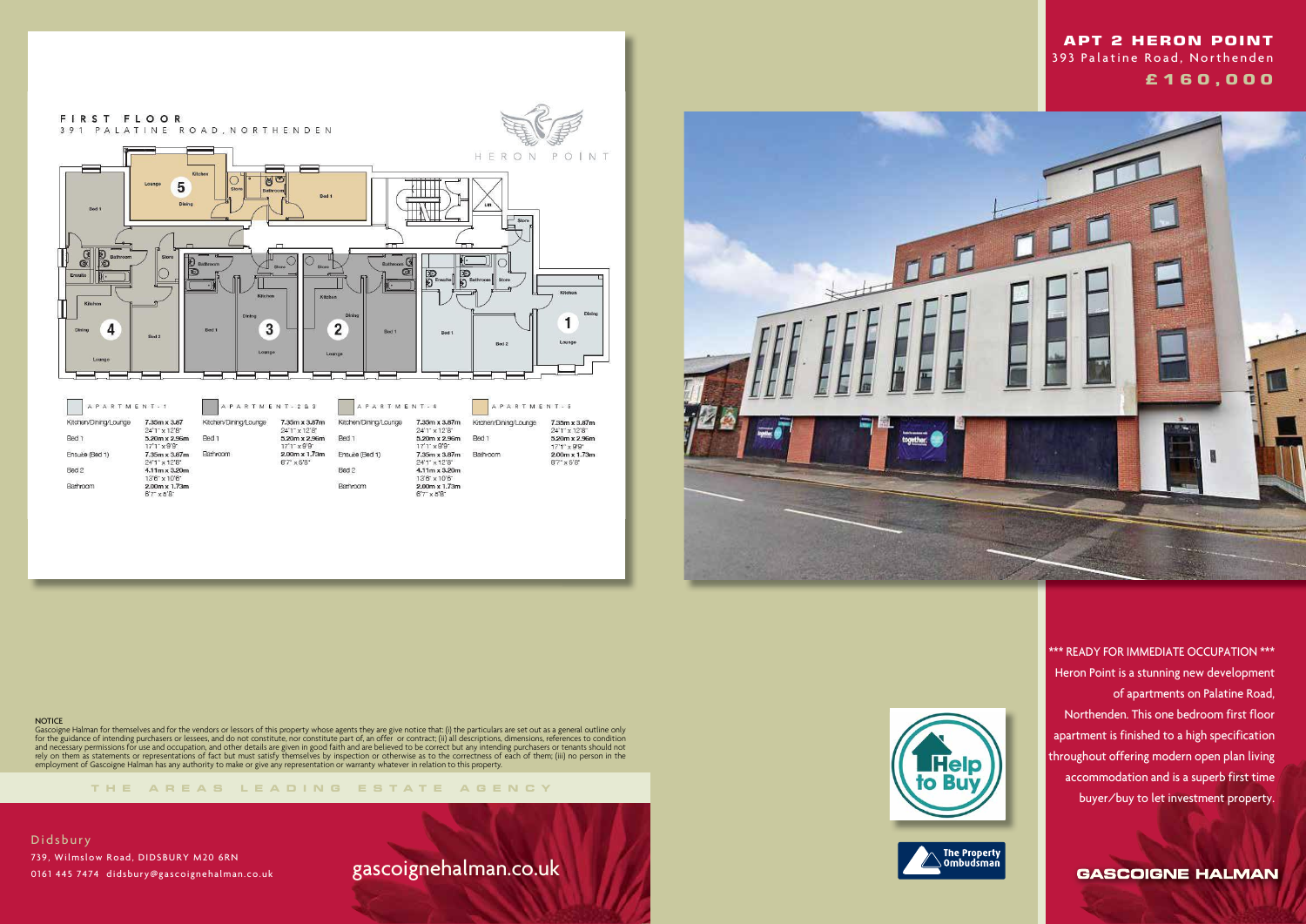



#### **NOTICE**

**THE AREA S LEADING ES T A TE A G E N C Y**

Gascoigne Halman for themselves and for the vendors or lessors of this property whose agents they are give notice that: (i) the particulars are set out as a general outline only for the guidance of intending purchasers or lessees, and do not constitute, nor constitute part of, an offer or contract; (ii) all descriptions, dimensions, references to condition and necessary permissions for use and occupation, and other details are given in good faith and are believed to be correct but any intending purchasers or tenants should not rely on them as statements or representations of fact but must satisfy themselves by inspection or otherwise as to the correctness of each of them; (iii) no person in the employment of Gascoigne Halman has any authority to make or give any representation or warranty whatever in relation to this property.

Didsbury 739, Wilmslow Road, DIDSBURY M20 6RN 0161 445 7474 didsbury@gascoignehalman.co.uk

# gascoignehalman.co.uk





 \*\*\* READY FOR IMMEDIATE OCCUPATION \*\*\* Heron Point is a stunning new development of apartments on Palatine Road, Northenden. This one bedroom first floor apartment is finished to a high specification throughout offering modern open plan living accommodation and is a superb first time buyer/buy to let investment property.

**GASCOIGNE HALMAN** 

## **APT 2 HERON POINT**  393 Palatine Road, Northenden  **£ 1 6 0 , 0 0 0**